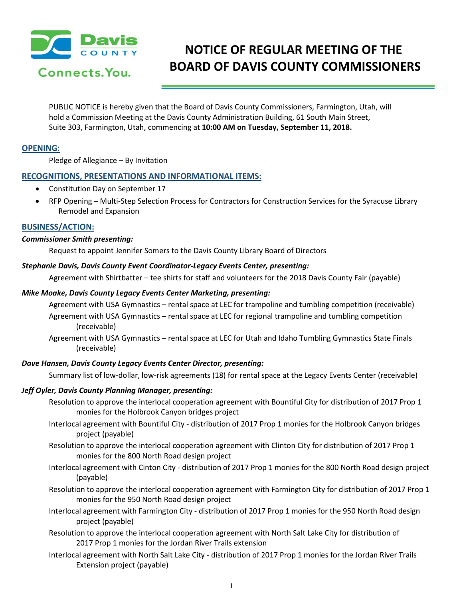

# **NOTICE OF REGULAR MEETING OF THE BOARD OF DAVIS COUNTY COMMISSIONERS**

PUBLIC NOTICE is hereby given that the Board of Davis County Commissioners, Farmington, Utah, will hold a Commission Meeting at the Davis County Administration Building, 61 South Main Street, Suite 303, Farmington, Utah, commencing at **10:00 AM on Tuesday, September 11, 2018.**

# **OPENING:**

Pledge of Allegiance – By Invitation

## **RECOGNITIONS, PRESENTATIONS AND INFORMATIONAL ITEMS:**

- Constitution Day on September 17
- RFP Opening Multi-Step Selection Process for Contractors for Construction Services for the Syracuse Library Remodel and Expansion

### **BUSINESS/ACTION:**

#### *Commissioner Smith presenting:*

Request to appoint Jennifer Somers to the Davis County Library Board of Directors

#### *Stephanie Davis, Davis County Event Coordinator-Legacy Events Center, presenting:*

Agreement with Shirtbatter – tee shirts for staff and volunteers for the 2018 Davis County Fair (payable)

#### *Mike Moake, Davis County Legacy Events Center Marketing, presenting:*

Agreement with USA Gymnastics – rental space at LEC for trampoline and tumbling competition (receivable)

Agreement with USA Gymnastics – rental space at LEC for regional trampoline and tumbling competition (receivable)

Agreement with USA Gymnastics – rental space at LEC for Utah and Idaho Tumbling Gymnastics State Finals (receivable)

### *Dave Hansen, Davis County Legacy Events Center Director, presenting:*

Summary list of low-dollar, low-risk agreements (18) for rental space at the Legacy Events Center (receivable)

### *Jeff Oyler, Davis County Planning Manager, presenting:*

- Resolution to approve the interlocal cooperation agreement with Bountiful City for distribution of 2017 Prop 1 monies for the Holbrook Canyon bridges project
- Interlocal agreement with Bountiful City distribution of 2017 Prop 1 monies for the Holbrook Canyon bridges project (payable)
- Resolution to approve the interlocal cooperation agreement with Clinton City for distribution of 2017 Prop 1 monies for the 800 North Road design project
- Interlocal agreement with Cinton City distribution of 2017 Prop 1 monies for the 800 North Road design project (payable)
- Resolution to approve the interlocal cooperation agreement with Farmington City for distribution of 2017 Prop 1 monies for the 950 North Road design project
- Interlocal agreement with Farmington City distribution of 2017 Prop 1 monies for the 950 North Road design project (payable)
- Resolution to approve the interlocal cooperation agreement with North Salt Lake City for distribution of 2017 Prop 1 monies for the Jordan River Trails extension
- Interlocal agreement with North Salt Lake City distribution of 2017 Prop 1 monies for the Jordan River Trails Extension project (payable)